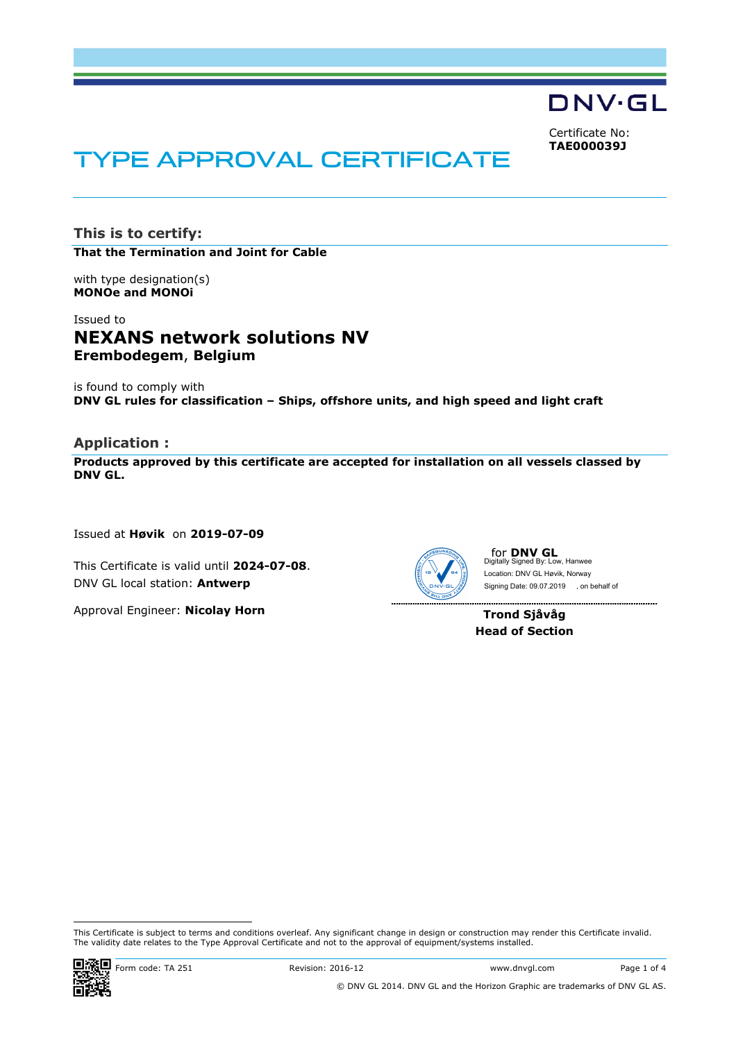DNV·GL

Certificate No: **TAE000039J**

# TYPE APPROVAL CERTIFICATE

**This is to certify: That the Termination and Joint for Cable**

with type designation(s) **MONOe and MONOi**

# Issued to **NEXANS network solutions NV Erembodegem**, **Belgium**

is found to comply with **DNV GL rules for classification – Ships, offshore units, and high speed and light craft**

## **Application :**

**Products approved by this certificate are accepted for installation on all vessels classed by DNV GL.** 

Issued at **Høvik** on **2019-07-09**

This Certificate is valid until **2024-07-08**. DNV GL local station: **Antwerp**

Approval Engineer: **Nicolay Horn**



for **DNV GL** Digitally Signed By: Low, Hanwee Signing Date: 09.07.2019 , on behalf ofLocation: DNV GL Høvik, Norway

---------------------

. . . . . . . . . . . . . . . . .

**Trond Sjåvåg Head of Section**

 This Certificate is subject to terms and conditions overleaf. Any significant change in design or construction may render this Certificate invalid. The validity date relates to the Type Approval Certificate and not to the approval of equipment/systems installed.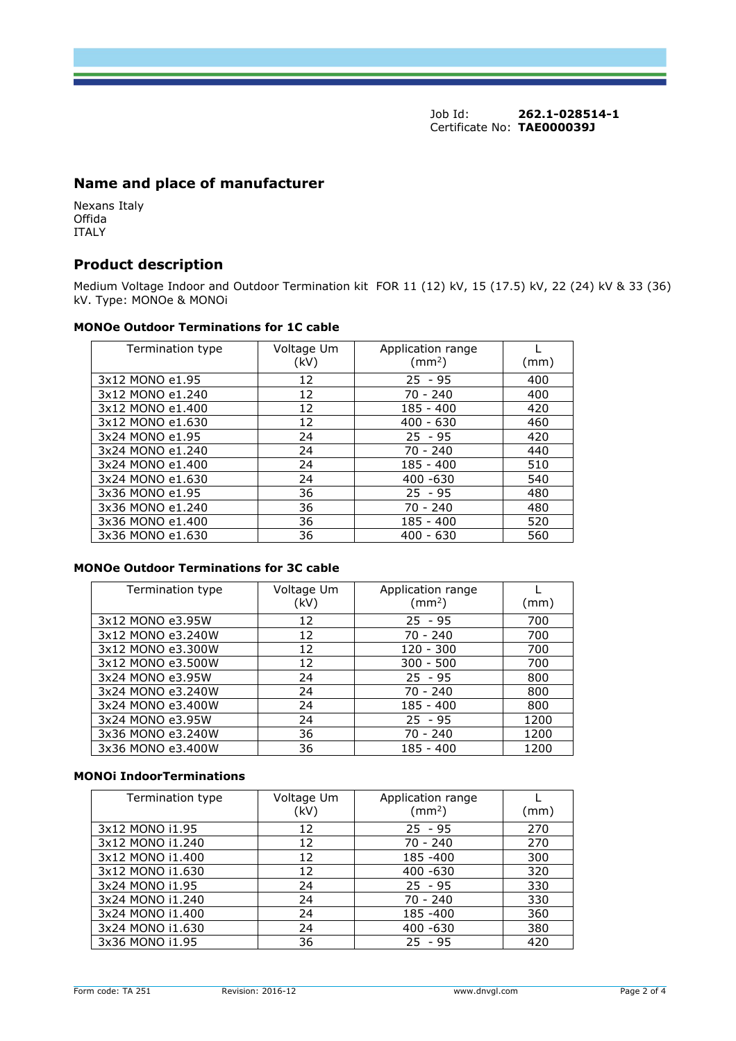Job Id: **262.1-028514-1** Certificate No: **TAE000039J**

# **Name and place of manufacturer**

Nexans Italy Offida ITALY

# **Product description**

Medium Voltage Indoor and Outdoor Termination kit FOR 11 (12) kV, 15 (17.5) kV, 22 (24) kV & 33 (36) kV. Type: MONOe & MONOi

#### **MONOe Outdoor Terminations for 1C cable**

| Termination type | Voltage Um<br>(kV) | Application range<br>$\text{(mm}^2)$ | (mm) |
|------------------|--------------------|--------------------------------------|------|
| 3x12 MONO e1.95  | 12                 | $25 - 95$                            | 400  |
| 3x12 MONO e1.240 | 12                 | $70 - 240$                           | 400  |
| 3x12 MONO e1.400 | 12                 | $185 - 400$                          | 420  |
| 3x12 MONO e1.630 | 12                 | $400 - 630$                          | 460  |
| 3x24 MONO e1.95  | 24                 | $25 - 95$                            | 420  |
| 3x24 MONO e1.240 | 24                 | $70 - 240$                           | 440  |
| 3x24 MONO e1.400 | 24                 | $185 - 400$                          | 510  |
| 3x24 MONO e1.630 | 24                 | $400 - 630$                          | 540  |
| 3x36 MONO e1.95  | 36                 | $25 - 95$                            | 480  |
| 3x36 MONO e1.240 | 36                 | $70 - 240$                           | 480  |
| 3x36 MONO e1.400 | 36                 | 185 - 400                            | 520  |
| 3x36 MONO e1.630 | 36                 | $400 - 630$                          | 560  |

### **MONOe Outdoor Terminations for 3C cable**

| Termination type  | Voltage Um<br>(kV) | Application range<br>(mm <sup>2</sup> ) | (mm) |
|-------------------|--------------------|-----------------------------------------|------|
| 3x12 MONO e3.95W  | 12                 | $25 - 95$                               | 700  |
| 3x12 MONO e3.240W | 12                 | $70 - 240$                              | 700  |
| 3x12 MONO e3.300W | 12                 | $120 - 300$                             | 700  |
| 3x12 MONO e3.500W | 12                 | $300 - 500$                             | 700  |
| 3x24 MONO e3.95W  | 24                 | $25 - 95$                               | 800  |
| 3x24 MONO e3.240W | 24                 | $70 - 240$                              | 800  |
| 3x24 MONO e3.400W | 24                 | 185 - 400                               | 800  |
| 3x24 MONO e3.95W  | 24                 | $25 - 95$                               | 1200 |
| 3x36 MONO e3.240W | 36                 | $70 - 240$                              | 1200 |
| 3x36 MONO e3.400W | 36                 | 185 - 400                               | 1200 |

#### **MONOi IndoorTerminations**

| Termination type | Voltage Um | Application range  |      |
|------------------|------------|--------------------|------|
|                  | (kV)       | (mm <sup>2</sup> ) | (mm) |
| 3x12 MONO i1.95  | 12         | $25 - 95$          | 270  |
| 3x12 MONO i1.240 | 12         | $70 - 240$         | 270  |
| 3x12 MONO i1.400 | 12         | 185 - 400          | 300  |
| 3x12 MONO i1.630 | 12         | 400 -630           | 320  |
| 3x24 MONO i1.95  | 24         | $25 - 95$          | 330  |
| 3x24 MONO i1.240 | 24         | $70 - 240$         | 330  |
| 3x24 MONO i1.400 | 24         | 185 - 400          | 360  |
| 3x24 MONO i1.630 | 24         | 400 -630           | 380  |
| 3x36 MONO i1.95  | 36         | $25 - 95$          | 420  |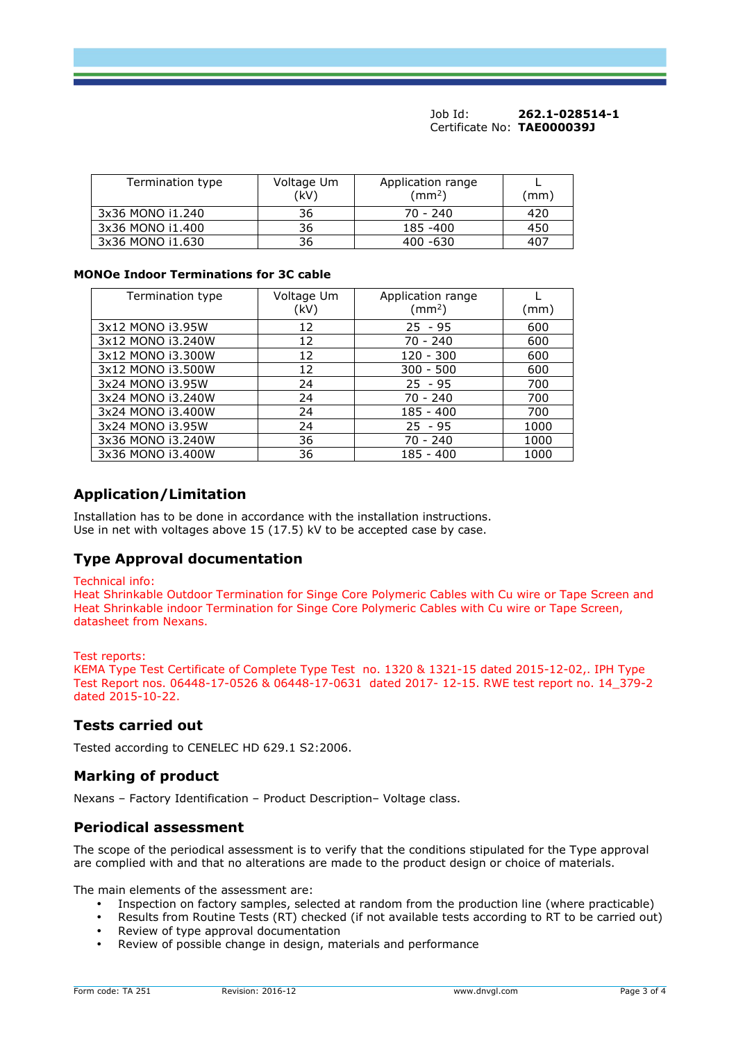#### Job Id: **262.1-028514-1** Certificate No: **TAE000039J**

| Termination type | Voltage Um<br>(kV) | Application range<br>$\text{ (mm}^2\text{)}$ | (mm) |
|------------------|--------------------|----------------------------------------------|------|
| 3x36 MONO i1.240 | 36                 | $70 - 240$                                   | 420  |
| 3x36 MONO i1.400 | 36                 | 185 - 400                                    | 450  |
| 3x36 MONO i1.630 | 36                 | 400 -630                                     | 407  |

#### **MONOe Indoor Terminations for 3C cable**

| Termination type  | Voltage Um<br>(kV) | Application range<br>$\rm (mm^2)$ | (mm) |
|-------------------|--------------------|-----------------------------------|------|
| 3x12 MONO i3.95W  | 12                 | $25 - 95$                         | 600  |
| 3x12 MONO i3.240W | 12                 | $70 - 240$                        | 600  |
| 3x12 MONO i3.300W | 12                 | $120 - 300$                       | 600  |
| 3x12 MONO i3.500W | 12                 | $300 - 500$                       | 600  |
| 3x24 MONO i3.95W  | 24                 | $25 - 95$                         | 700  |
| 3x24 MONO i3.240W | 24                 | 70 - 240                          | 700  |
| 3x24 MONO i3.400W | 24                 | $185 - 400$                       | 700  |
| 3x24 MONO i3.95W  | 24                 | $25 - 95$                         | 1000 |
| 3x36 MONO i3.240W | 36                 | 70 - 240                          | 1000 |
| 3x36 MONO i3.400W | 36                 | 185 - 400                         | 1000 |

# **Application/Limitation**

Installation has to be done in accordance with the installation instructions. Use in net with voltages above 15 (17.5) kV to be accepted case by case.

# **Type Approval documentation**

#### Technical info:

Heat Shrinkable Outdoor Termination for Singe Core Polymeric Cables with Cu wire or Tape Screen and Heat Shrinkable indoor Termination for Singe Core Polymeric Cables with Cu wire or Tape Screen, datasheet from Nexans.

#### Test reports:

KEMA Type Test Certificate of Complete Type Test no. 1320 & 1321-15 dated 2015-12-02,. IPH Type Test Report nos. 06448-17-0526 & 06448-17-0631 dated 2017- 12-15. RWE test report no. 14\_379-2 dated 2015-10-22.

## **Tests carried out**

Tested according to CENELEC HD 629.1 S2:2006.

#### **Marking of product**

Nexans – Factory Identification – Product Description– Voltage class.

#### **Periodical assessment**

The scope of the periodical assessment is to verify that the conditions stipulated for the Type approval are complied with and that no alterations are made to the product design or choice of materials.

The main elements of the assessment are:

- Inspection on factory samples, selected at random from the production line (where practicable)
- Results from Routine Tests (RT) checked (if not available tests according to RT to be carried out)
- Review of type approval documentation
- Review of possible change in design, materials and performance